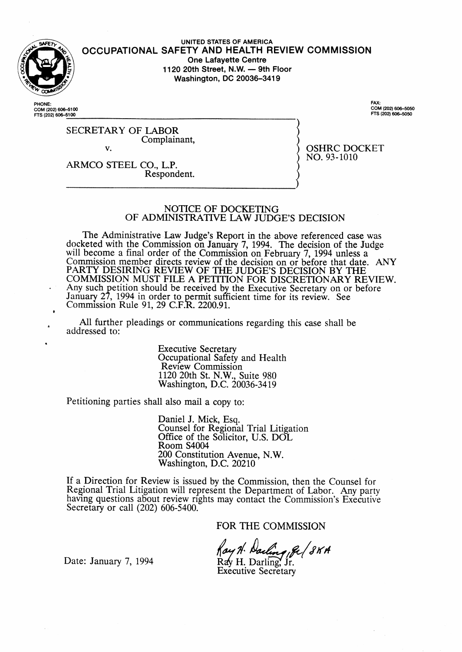

UNITED STATES OF AMERICA OCCUPATIONAL SAFETY AND HEALTH REVIEW COMMISSION **One Lafayette Centre** 1120 20th Street, N.W. - 9th Floor Washington, DC 20036-3419

HONE<sup>.</sup> COM (202) 606-5100 FTS (202) 606-5100

FAX: FAX:<br>COM (202) 606-5050<br>FTS (202) 606-5050

**OSHRC DOCKET** 

NO. 93-1010

**SECRETARY OF LABOR** Complainant,  $\mathbf{v}$ 

ARMCO STEEL CO., L.P. Respondent.

#### NOTICE OF DOCKETING OF ADMINISTRATIVE LAW JUDGE'S DECISION

The Administrative Law Judge's Report in the above referenced case was docketed with the Commission on January 7, 1994. The decision of the Judge will become a final order of the Commission on February 7, 1994 unless a Commission member directs review of the decision on or before that date. ANY PARTY DESIRING REVIEW OF THE JUDGE'S DECISION BY THE COMMISSION MUST FILE A PETITION FOR DISCRETIONARY REVIEW. Any such petition should be received by the Executive Secretary on or before<br>January 27, 1994 in order to permit sufficient time for its review. See<br>Commission Rule 91, 29 C.F.R. 2200.91.

All further pleadings or communications regarding this case shall be addressed to:

> **Executive Secretary** Occupational Safety and Health Review Commission 1120 20th St. N.W., Suite 980<br>Washington, D.C. 20036-3419

Petitioning parties shall also mail a copy to:

Daniel J. Mick, Esq.<br>Counsel for Regional Trial Litigation Office of the Solicitor, U.S. DOL Room S4004 200 Constitution Avenue, N.W. Washington, D.C. 20210

If a Direction for Review is issued by the Commission, then the Counsel for Regional Trial Litigation will represent the Department of Labor. Any party having questions about review rights may contact the Commission's Executive Secretary or call (202) 606-5400.

FOR THE COMMISSION

ay H. Darling , ge ( 8KH

Date: January 7, 1994

Rav H. Darling, Jr. **Executive Secretary**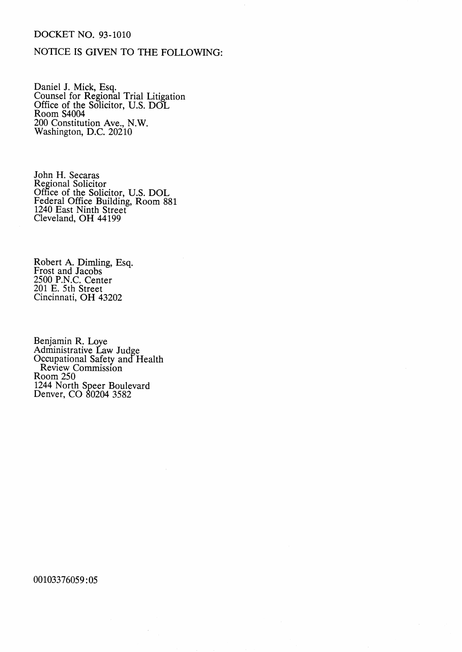# **DOCKET NO. 93-1010**

# NOTICE IS GIVEN TO THE FOLLOWING:

Daniel J. Mick, Esq.<br>Counsel for Regional Trial Litigation<br>Office of the Solicitor, U.S. DOL<br>Room S4004 200 Constitution Ave., N.W. Washington, D.C. 20210

John H. Secaras<br>Regional Solicitor<br>Office of the Solicitor, U.S. DOL<br>Federal Office Building, Room 881<br>1240 East Ninth Street<br>Cleveland, OH 44199

Robert A. Dimling, Esq.<br>Frost and Jacobs<br>2500 P.N.C. Center 201 E. 5th Street Cincinnati, OH 43202

Benjamin R. Loye<br>Administrative Law Judge<br>Occupational Safety and Health Review Commission<br>Room 250 1244 North Speer Boulevard<br>Denver, CO 80204 3582

00103376059:05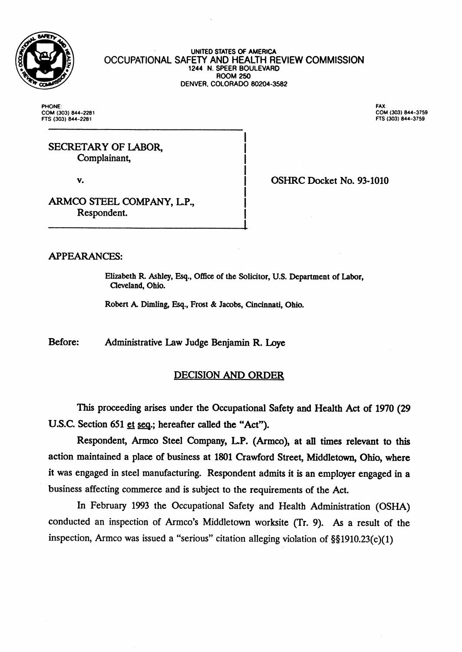

UNITED STATES OF AMERICA OCCUPATIONAL SAFETY AND HEALTH REVIEW COMMISSION 1244 N. SPEER BOULEVARD **ROOM 250** DENVER, COLORADO 80204-3582

**PHONE** COM (303) 844-2281 FTS (303) 844-2281

FAX: COM (303) 844-3759 FTS (303) 844-3759

# SECRETARY OF LABOR. Complainant,

V.

OSHRC Docket No. 93-1010

ARMCO STEEL COMPANY, L.P., Respondent.

## **APPEARANCES:**

Elizabeth R. Ashley, Esq., Office of the Solicitor, U.S. Department of Labor, Cleveland, Ohio.

Robert A. Dimling, Esq., Frost & Jacobs, Cincinnati, Ohio.

Before: Administrative Law Judge Benjamin R. Loye

# **DECISION AND ORDER**

This proceeding arises under the Occupational Safety and Health Act of 1970 (29 U.S.C. Section 651 et seq.; hereafter called the "Act").

Respondent, Armco Steel Company, L.P. (Armco), at all times relevant to this action maintained a place of business at 1801 Crawford Street, Middletown, Ohio, where it was engaged in steel manufacturing. Respondent admits it is an employer engaged in a business affecting commerce and is subject to the requirements of the Act.

In February 1993 the Occupational Safety and Health Administration (OSHA) conducted an inspection of Armco's Middletown worksite (Tr. 9). As a result of the inspection, Armco was issued a "serious" citation alleging violation of  $\S\S1910.23(c)(1)$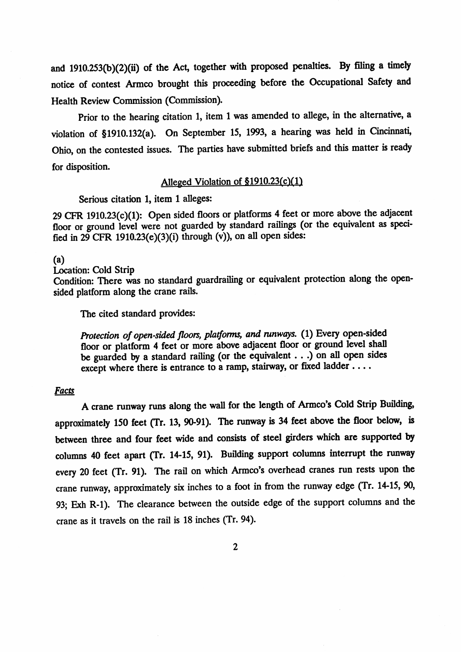and 1910.253(b)(2)(ii) of the Act, together with proposed penalties. By filing a timely notice of contest Armco brought this proceeding before the Occupational Safety and Health Review Commission (Commission).

Prior to the hearing citation 1, item 1 was amended to allege, in the alternative, a violation of §1910.132(a). On September 15, 1993, a hearing was held in Cincinnati, Ohio, on the contested issues. The parties have submitted briefs and this matter is ready for disposition.

# Alleged Violation of §1910.23(c)(1)

Serious citation 1, item 1 alleges:

29 CFR 1910.23(c)(1): Open sided floors or platforms 4 feet or more above the adjacent floor or ground level were not guarded by standard railings (or the equivalent as specified in  $29$  CFR 1910.23(e)(3)(i) through (v)), on all open sides:

### $(a)$

Location: Cold Strip Condition: There was no standard guardrailing or equivalent protection along the opensided platform along the crane rails.

The cited standard provides:

Protection of open-sided floors, platforms, and runways. (1) Every open-sided floor or platform 4 feet or more above adjacent floor or ground level shall be guarded by a standard railing (or the equivalent  $\ldots$  ) on all open sides except where there is entrance to a ramp, stairway, or fixed ladder ....

# **Facts**

A crane runway runs along the wall for the length of Armco's Cold Strip Building, approximately 150 feet (Tr. 13, 90-91). The runway is 34 feet above the floor below, is between three and four feet wide and consists of steel girders which are supported by columns 40 feet apart (Tr. 14-15, 91). Building support columns interrupt the runway every 20 feet (Tr. 91). The rail on which Armco's overhead cranes run rests upon the crane runway, approximately six inches to a foot in from the runway edge (Tr. 14-15, 90, 93; Exh R-1). The clearance between the outside edge of the support columns and the crane as it travels on the rail is 18 inches (Tr. 94).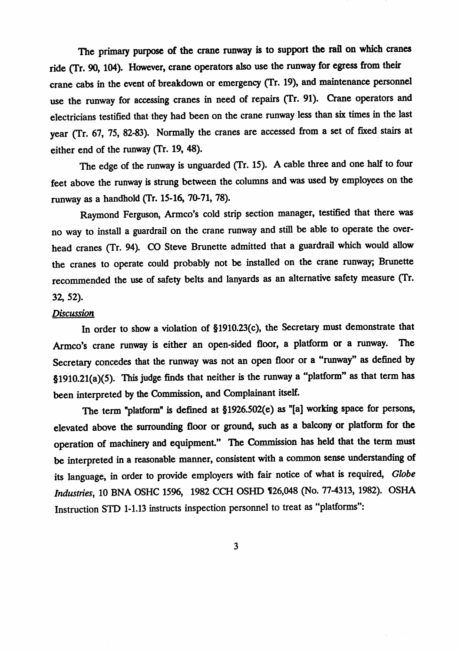The primary purpose of the crane runway is to support the rail on which cranes ride (Tr. 90, 104). However, crane operators also use the runway for egress from their crane cabs in the event of breakdown or emergency (Tr. 19), and maintenance personnel use the runway for accessing cranes in need of repairs (Tr. 91). Crane operators and electricians testified that they had been on the crane runway less than six times in the last year (Tr. 67, 75, 82-83). Normally the cranes are accessed from a set of fixed stairs at either end of the runway (Tr. 19, 48).

The edge of the runway is unguarded (Tr. 15). A cable three and one half to four feet above the runway is strung between the columns and was used by employees on the runway as a handhold (Tr. 15-16, 70-71, 78).

Raymond Ferguson, Armco's cold strip section manager, testified that there was no way to install a guardrail on the crane runway and still be able to operate the overhead cranes (Tr. 94). CO Steve Brunette admitted that a guardrail which would allow the cranes to operate could probably not be installed on the crane runway; Brunette recommended the use of safety belts and lanyards as an alternative safety measure (Tr. 32, 52).

#### **Discussion**

In order to show a violation of §1910.23(c), the Secretary must demonstrate that Armco's crane runway is either an open-sided floor, a platform or a runway. **The** Secretary concedes that the runway was not an open floor or a "runway" as defined by  $$1910.21(a)(5)$ . This judge finds that neither is the runway a "platform" as that term has been interpreted by the Commission, and Complainant itself.

The term "platform" is defined at §1926.502(e) as "[a] working space for persons, elevated above the surrounding floor or ground, such as a balcony or platform for the operation of machinery and equipment." The Commission has held that the term must be interpreted in a reasonable manner, consistent with a common sense understanding of its language, in order to provide employers with fair notice of what is required, Globe Industries, 10 BNA OSHC 1596, 1982 CCH OSHD 126,048 (No. 77-4313, 1982). OSHA Instruction STD 1-1.13 instructs inspection personnel to treat as "platforms":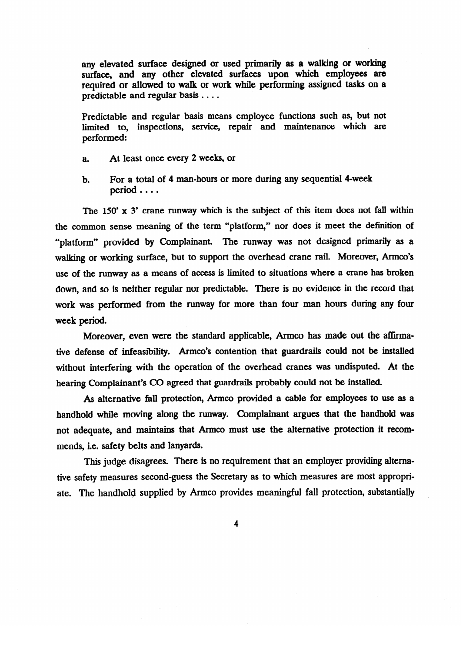any elevated surface designed or used primarily as a walking or working surface, and any other elevated surfaces upon which employees are required or allowed to walk or work while performing assigned tasks on a predictable and regular basis . . . .

Predictable and regular basis means employee functions such as, but not limited to, inspections, service, repair and maintenance which are performed:

- a. At least once every 2 weeks, or
- For a total of 4 man-hours or more during any sequential 4-week period ....  $\mathbf{b}$ .

The  $150'$  x 3' crane runway which is the subject of this item does not fall within the common sense meaning of the term "platform," nor does it meet the definition of "platform" provided by Complainant. The runway was not designed primarily as a walking or working surface, but to support the overhead crane rail. Moreover, Armco's use of the runway as a means of access is limited to situations where a crane has broken down, and so is neither regular nor predictable. There is no evidence in the record that work was performed from the runway for more than four man hours during any four week period.

Moreover, even were the standard applicable, Armco has made out the affirmative defense of infeasibility. Armco's contention that guardrails could not be installed without interfering with the operation of the overhead cranes was undisputed. At the hearing Complainant's CO agreed that guardrails probably could not be installed.

As alternative fall protection, Armco provided a cable for employees to use as a handhold while moving along the runway. Complainant argues that the handhold was not adequate, and maintains that Armco must use the alternative protection it recommends, i.e. safety belts and lanyards.

This judge disagrees. There is no requirement that an employer providing alternative safety measures second-guess the Secretary as to which measures are most appropriate. The handhold supplied by Armco provides meaningful fall protection, substantially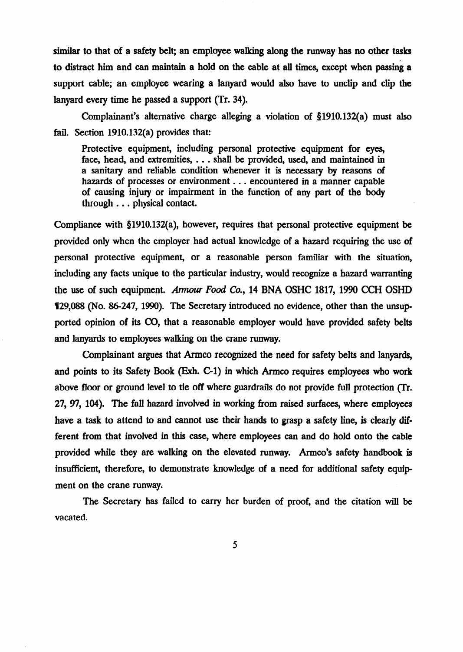similar to that of a safety belt; an employee walking along the runway has no other tasks to distract him and can maintain a hold on the cable at all times, except when passing a support cable; an employee wearing a lanyard would also have to unclip and clip the lanyard every time he passed a support (Tr. 34).

Complainant's alternative charge alleging a violation of 51910.132(a) must also fail. Section 1910.132(a) provides that:

Protective equipment, including personal protective equipment for eyes, face, head, and extremities, . . . shall be provided, used, and maintained in a sanitary and reliable condition whenever it is necessary by reasons of hazards of processes or environment  $\ldots$  encountered in a manner capable of causing injury or impairment in the function of any part of the body through  $\ldots$  physical contact.

Compliance with 51910.132(a), however, requires that personal protective equipment be provided only when the employer had actual knowledge of a hazard requiring the use of personal protective equipment, or a reasonable person familiar with the situation, including any facts unique to the particular industry, would recognize a hazard warranting the use of such equipment. Annour *Food Co.,* 14 BNA OSHC 1817, 1990 CCH OSHD 129,088 (No. 86-247, 1990). The Secretary introduced no evidence, other than the unsupported opinion of its CO, that a reasonable employer would have provided safety belts and lanyards to employees walking on the crane runway.

Complainant argues that Armco recognized the need for safety belts and lanyards, and points to its Safety Book (Exh. C-1) in which Armco requires employees who work above floor or ground level to tie off where guardrails do not provide full protection (Tr. 27, 97, 104). The fall hazard involved in working from raised surfaces, where employees have a task to attend to and cannot use their hands to grasp a safety line, is clearly different from that involved in this case, where employees can and do hold onto the cable provided while they are walking on the elevated runway. Armco's safety handbook is insufficient, therefore, to demonstrate knowledge of a need for additional safety equipment on the crane runway.

The Secretary has failed to carry her burden of proof, and the citation will be vacated.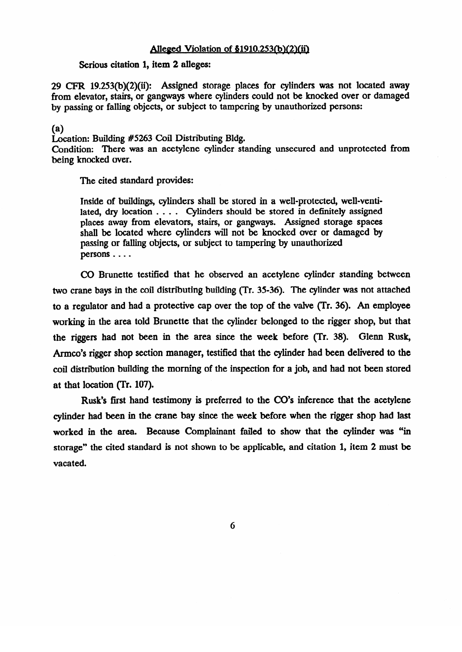## Alleged Violation of  $$1910.253(b)(2)(ii)$

# Serious citation 1, item 2 alleges:

 $29$  CFR 19.253(b)(2)(ii): Assigned storage places for cylinders was not located away from elevator, stairs, or gangways where cylinders could not be knocked over or damaged by passing or falling objects, or subject to tampering by unauthorized persons:

(a)<br>Location: Building  $#5263$  Coil Distributing Bldg. Location: Building #5263 Coil Distributing Bldg. Condition: There was an acetylene cylinder standing unsecured and unprotected from being knocked over.

The cited standard provides:

Inside of buildings, cylinders shall be stored in a well-protected, well-venti-<br>lated, dry location  $\dots$ . Cylinders should be stored in definitely assigned places away from elevators, stairs, or gangways. Assigned storage spaces shall be located where cylinders will not be knocked over or damaged by passing or falling objects, or subject to tampering by unauthorized persons  $\dots$ persons 0 0 0 0

CO Brunette testified that he observed an acetylene cylinder standing between two crane bays in the coil distributing building (Tr. 35-36). The cylinder was not attached to a regulator and had a protective cap over the top of the valve (Tr. 36). An employee working in the area told Brunette that the cylinder belonged to the rigger shop, but that the riggers had not been in the area since the week before (Tr. 38). Glenn Rusk, Armco's rigger shop section manager, testified that the cylinder had been delivered to the coil distribution building the morning of the inspection for a job, and had not been stored at that location (Tr. 107).

Rusk's first hand testimony is preferred to the CO's inference that the acetylene cylinder had been in the crane bay since the week before when the rigger shop had last worked in the area. Because Complainant failed to show that the cylinder was "in storage" the cited standard is not shown to be applicable, and citation 1, item 2 must be  $\alpha$  the cited standard is not shown to be applicable, and citation 1, item 2 must be applicable, and citation 1, it is not shown to be applicable, and citation 1, it is not shown to be applicable, and citation 1, it is n